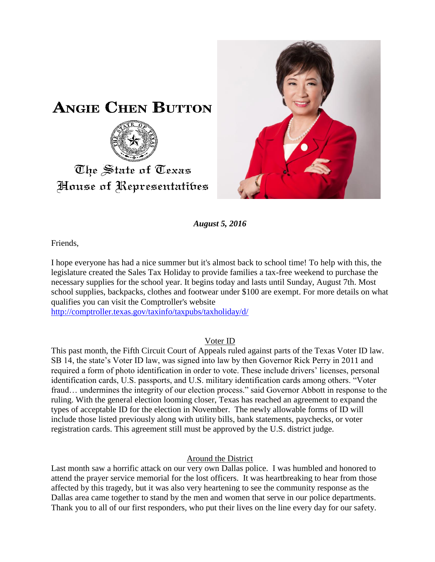



*August 5, 2016*

Friends,

I hope everyone has had a nice summer but it's almost back to school time! To help with this, the legislature created the Sales Tax Holiday to provide families a tax-free weekend to purchase the necessary supplies for the school year. It begins today and lasts until Sunday, August 7th. Most school supplies, backpacks, clothes and footwear under \$100 are exempt. For more details on what qualifies you can visit the Comptroller's website

<http://comptroller.texas.gov/taxinfo/taxpubs/taxholiday/d/>

## Voter ID

This past month, the Fifth Circuit Court of Appeals ruled against parts of the Texas Voter ID law. SB 14, the state's Voter ID law, was signed into law by then Governor Rick Perry in 2011 and required a form of photo identification in order to vote. These include drivers' licenses, personal identification cards, U.S. passports, and U.S. military identification cards among others. "Voter fraud… undermines the integrity of our election process." said Governor Abbott in response to the ruling. With the general election looming closer, Texas has reached an agreement to expand the types of acceptable ID for the election in November. The newly allowable forms of ID will include those listed previously along with utility bills, bank statements, paychecks, or voter registration cards. This agreement still must be approved by the U.S. district judge.

## Around the District

Last month saw a horrific attack on our very own Dallas police. I was humbled and honored to attend the prayer service memorial for the lost officers. It was heartbreaking to hear from those affected by this tragedy, but it was also very heartening to see the community response as the Dallas area came together to stand by the men and women that serve in our police departments. Thank you to all of our first responders, who put their lives on the line every day for our safety.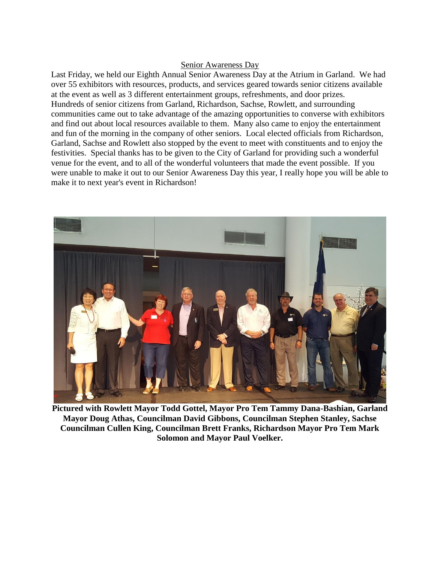## Senior Awareness Day

Last Friday, we held our Eighth Annual Senior Awareness Day at the Atrium in Garland. We had over 55 exhibitors with resources, products, and services geared towards senior citizens available at the event as well as 3 different entertainment groups, refreshments, and door prizes. Hundreds of senior citizens from Garland, Richardson, Sachse, Rowlett, and surrounding communities came out to take advantage of the amazing opportunities to converse with exhibitors and find out about local resources available to them. Many also came to enjoy the entertainment and fun of the morning in the company of other seniors. Local elected officials from Richardson, Garland, Sachse and Rowlett also stopped by the event to meet with constituents and to enjoy the festivities. Special thanks has to be given to the City of Garland for providing such a wonderful venue for the event, and to all of the wonderful volunteers that made the event possible. If you were unable to make it out to our Senior Awareness Day this year, I really hope you will be able to make it to next year's event in Richardson!



**Pictured with Rowlett Mayor Todd Gottel, Mayor Pro Tem Tammy Dana-Bashian, Garland Mayor Doug Athas, Councilman David Gibbons, Councilman Stephen Stanley, Sachse Councilman Cullen King, Councilman Brett Franks, Richardson Mayor Pro Tem Mark Solomon and Mayor Paul Voelker.**